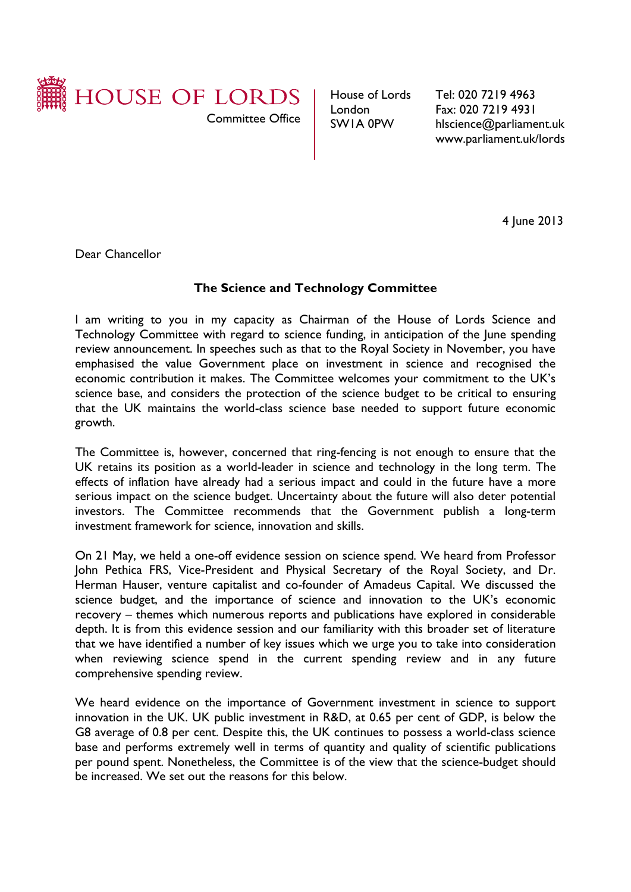

House of Lords London SW1A 0PW

Tel: 020 7219 4963 Fax: 020 7219 4931 hlscience@parliament.uk www.parliament.uk/lords

4 June 2013

Dear Chancellor

# **The Science and Technology Committee**

I am writing to you in my capacity as Chairman of the House of Lords Science and Technology Committee with regard to science funding, in anticipation of the June spending review announcement. In speeches such as that to the Royal Society in November, you have emphasised the value Government place on investment in science and recognised the economic contribution it makes. The Committee welcomes your commitment to the UK's science base, and considers the protection of the science budget to be critical to ensuring that the UK maintains the world-class science base needed to support future economic growth.

The Committee is, however, concerned that ring-fencing is not enough to ensure that the UK retains its position as a world-leader in science and technology in the long term. The effects of inflation have already had a serious impact and could in the future have a more serious impact on the science budget. Uncertainty about the future will also deter potential investors. The Committee recommends that the Government publish a long-term investment framework for science, innovation and skills.

On 21 May, we held a one-off evidence session on science spend*.* We heard from Professor John Pethica FRS, Vice-President and Physical Secretary of the Royal Society, and Dr. Herman Hauser, venture capitalist and co-founder of Amadeus Capital. We discussed the science budget, and the importance of science and innovation to the UK's economic recovery – themes which numerous reports and publications have explored in considerable depth. It is from this evidence session and our familiarity with this broader set of literature that we have identified a number of key issues which we urge you to take into consideration when reviewing science spend in the current spending review and in any future comprehensive spending review.

We heard evidence on the importance of Government investment in science to support innovation in the UK. UK public investment in R&D, at 0.65 per cent of GDP, is below the G8 average of 0.8 per cent. Despite this, the UK continues to possess a world-class science base and performs extremely well in terms of quantity and quality of scientific publications per pound spent. Nonetheless, the Committee is of the view that the science-budget should be increased. We set out the reasons for this below.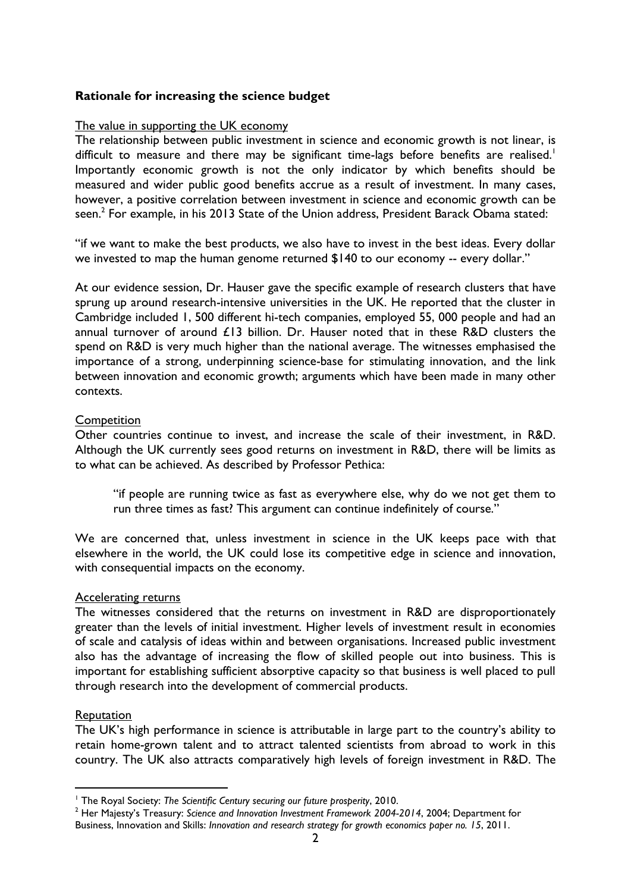## **Rationale for increasing the science budget**

## The value in supporting the UK economy

The relationship between public investment in science and economic growth is not linear, is difficult to measure and there may be significant time-lags before benefits are realised.<sup>1</sup> Importantly economic growth is not the only indicator by which benefits should be measured and wider public good benefits accrue as a result of investment. In many cases, however, a positive correlation between investment in science and economic growth can be seen. $^2$  For example, in his 2013 State of the Union address, President Barack Obama stated:

"if we want to make the best products, we also have to invest in the best ideas. Every dollar we invested to map the human genome returned \$140 to our economy -- every dollar."

At our evidence session, Dr. Hauser gave the specific example of research clusters that have sprung up around research-intensive universities in the UK. He reported that the cluster in Cambridge included 1, 500 different hi-tech companies, employed 55, 000 people and had an annual turnover of around £13 billion. Dr. Hauser noted that in these R&D clusters the spend on R&D is very much higher than the national average. The witnesses emphasised the importance of a strong, underpinning science-base for stimulating innovation, and the link between innovation and economic growth; arguments which have been made in many other contexts.

## **Competition**

Other countries continue to invest, and increase the scale of their investment, in R&D. Although the UK currently sees good returns on investment in R&D, there will be limits as to what can be achieved. As described by Professor Pethica:

"if people are running twice as fast as everywhere else, why do we not get them to run three times as fast? This argument can continue indefinitely of course."

We are concerned that, unless investment in science in the UK keeps pace with that elsewhere in the world, the UK could lose its competitive edge in science and innovation, with consequential impacts on the economy.

#### Accelerating returns

The witnesses considered that the returns on investment in R&D are disproportionately greater than the levels of initial investment. Higher levels of investment result in economies of scale and catalysis of ideas within and between organisations. Increased public investment also has the advantage of increasing the flow of skilled people out into business. This is important for establishing sufficient absorptive capacity so that business is well placed to pull through research into the development of commercial products.

#### Reputation

 $\overline{a}$ 

The UK's high performance in science is attributable in large part to the country's ability to retain home-grown talent and to attract talented scientists from abroad to work in this country. The UK also attracts comparatively high levels of foreign investment in R&D. The

<sup>&</sup>lt;sup>1</sup> The Royal Society: The Scientific Century securing our future prosperity, 2010.

<sup>2</sup> Her Majesty's Treasury: *Science and Innovation Investment Framework 2004-2014*, 2004; Department for Business, Innovation and Skills: *Innovation and research strategy for growth economics paper no. 15*, 2011.